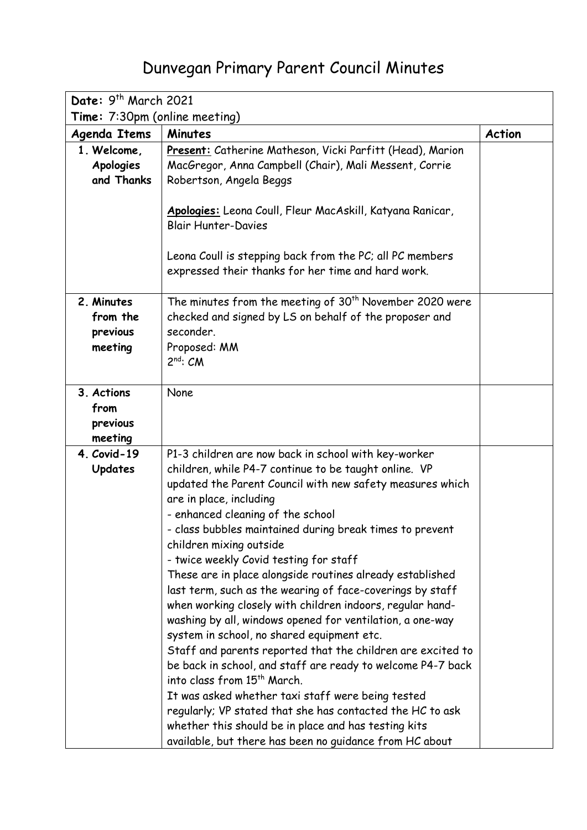## Dunvegan Primary Parent Council Minutes

| Date: 9th March 2021                          |                                                                                                                                                                                                                                                                                                                                                                                                                                                                                                                                                                                                                                                                                                                                                                                                                                                                                                                                                                                                                                                                                             |               |  |  |
|-----------------------------------------------|---------------------------------------------------------------------------------------------------------------------------------------------------------------------------------------------------------------------------------------------------------------------------------------------------------------------------------------------------------------------------------------------------------------------------------------------------------------------------------------------------------------------------------------------------------------------------------------------------------------------------------------------------------------------------------------------------------------------------------------------------------------------------------------------------------------------------------------------------------------------------------------------------------------------------------------------------------------------------------------------------------------------------------------------------------------------------------------------|---------------|--|--|
| Time: 7:30pm (online meeting)                 |                                                                                                                                                                                                                                                                                                                                                                                                                                                                                                                                                                                                                                                                                                                                                                                                                                                                                                                                                                                                                                                                                             |               |  |  |
| <b>Agenda Items</b>                           | <b>Minutes</b>                                                                                                                                                                                                                                                                                                                                                                                                                                                                                                                                                                                                                                                                                                                                                                                                                                                                                                                                                                                                                                                                              | <b>Action</b> |  |  |
| 1. Welcome,<br><b>Apologies</b><br>and Thanks | <b>Present:</b> Catherine Matheson, Vicki Parfitt (Head), Marion<br>MacGregor, Anna Campbell (Chair), Mali Messent, Corrie<br>Robertson, Angela Beggs                                                                                                                                                                                                                                                                                                                                                                                                                                                                                                                                                                                                                                                                                                                                                                                                                                                                                                                                       |               |  |  |
|                                               | Apologies: Leona Coull, Fleur MacAskill, Katyana Ranicar,<br><b>Blair Hunter-Davies</b><br>Leona Coull is stepping back from the PC; all PC members                                                                                                                                                                                                                                                                                                                                                                                                                                                                                                                                                                                                                                                                                                                                                                                                                                                                                                                                         |               |  |  |
|                                               | expressed their thanks for her time and hard work.                                                                                                                                                                                                                                                                                                                                                                                                                                                                                                                                                                                                                                                                                                                                                                                                                                                                                                                                                                                                                                          |               |  |  |
| 2. Minutes<br>from the<br>previous<br>meeting | The minutes from the meeting of $30th$ November 2020 were<br>checked and signed by LS on behalf of the proposer and<br>seconder.<br>Proposed: MM<br>$2^{nd}$ : $CM$                                                                                                                                                                                                                                                                                                                                                                                                                                                                                                                                                                                                                                                                                                                                                                                                                                                                                                                         |               |  |  |
| 3. Actions<br>from<br>previous<br>meeting     | None                                                                                                                                                                                                                                                                                                                                                                                                                                                                                                                                                                                                                                                                                                                                                                                                                                                                                                                                                                                                                                                                                        |               |  |  |
| 4. Covid-19<br><b>Updates</b>                 | P1-3 children are now back in school with key-worker<br>children, while P4-7 continue to be taught online. VP<br>updated the Parent Council with new safety measures which<br>are in place, including<br>- enhanced cleaning of the school<br>- class bubbles maintained during break times to prevent<br>children mixing outside<br>- twice weekly Covid testing for staff<br>These are in place alongside routines already established<br>last term, such as the wearing of face-coverings by staff<br>when working closely with children indoors, regular hand-<br>washing by all, windows opened for ventilation, a one-way<br>system in school, no shared equipment etc.<br>Staff and parents reported that the children are excited to<br>be back in school, and staff are ready to welcome P4-7 back<br>into class from 15 <sup>th</sup> March.<br>It was asked whether taxi staff were being tested<br>regularly; VP stated that she has contacted the HC to ask<br>whether this should be in place and has testing kits<br>available, but there has been no guidance from HC about |               |  |  |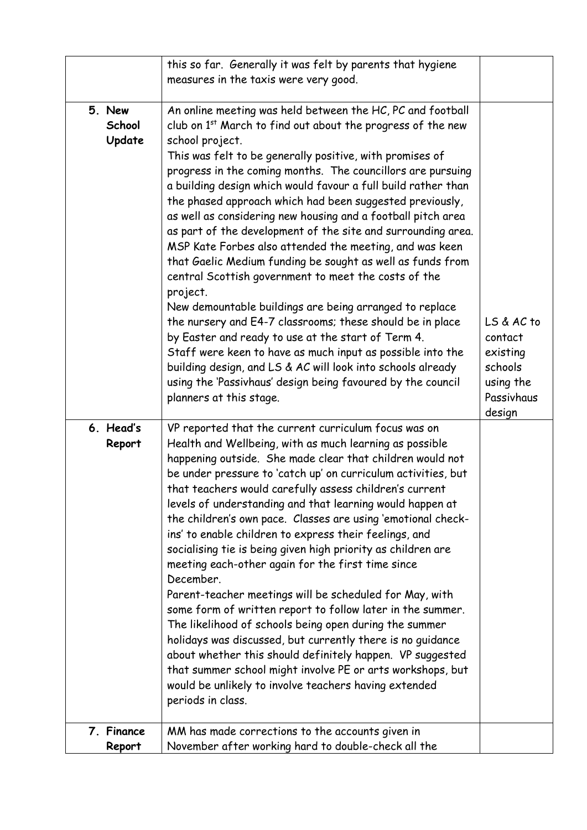|            | this so far. Generally it was felt by parents that hygiene                                                               |            |
|------------|--------------------------------------------------------------------------------------------------------------------------|------------|
|            | measures in the taxis were very good.                                                                                    |            |
|            |                                                                                                                          |            |
| 5. New     | An online meeting was held between the HC, PC and football                                                               |            |
| School     | club on 1 <sup>st</sup> March to find out about the progress of the new                                                  |            |
| Update     | school project.                                                                                                          |            |
|            | This was felt to be generally positive, with promises of                                                                 |            |
|            | progress in the coming months. The councillors are pursuing                                                              |            |
|            | a building design which would favour a full build rather than                                                            |            |
|            | the phased approach which had been suggested previously,                                                                 |            |
|            | as well as considering new housing and a football pitch area                                                             |            |
|            | as part of the development of the site and surrounding area.                                                             |            |
|            | MSP Kate Forbes also attended the meeting, and was keen                                                                  |            |
|            | that Gaelic Medium funding be sought as well as funds from                                                               |            |
|            | central Scottish government to meet the costs of the                                                                     |            |
|            | project.                                                                                                                 |            |
|            | New demountable buildings are being arranged to replace                                                                  |            |
|            | the nursery and E4-7 classrooms; these should be in place                                                                | LS & AC to |
|            | by Easter and ready to use at the start of Term 4.                                                                       | contact    |
|            | Staff were keen to have as much input as possible into the                                                               | existing   |
|            | building design, and LS & AC will look into schools already                                                              | schools    |
|            | using the 'Passivhaus' design being favoured by the council                                                              | using the  |
|            | planners at this stage.                                                                                                  | Passivhaus |
|            |                                                                                                                          | design     |
| 6. Head's  | VP reported that the current curriculum focus was on                                                                     |            |
| Report     | Health and Wellbeing, with as much learning as possible                                                                  |            |
|            | happening outside. She made clear that children would not                                                                |            |
|            | be under pressure to 'catch up' on curriculum activities, but<br>that teachers would carefully assess children's current |            |
|            | levels of understanding and that learning would happen at                                                                |            |
|            | the children's own pace. Classes are using 'emotional check-                                                             |            |
|            | ins' to enable children to express their feelings, and                                                                   |            |
|            | socialising tie is being given high priority as children are                                                             |            |
|            | meeting each-other again for the first time since                                                                        |            |
|            | December.                                                                                                                |            |
|            | Parent-teacher meetings will be scheduled for May, with                                                                  |            |
|            | some form of written report to follow later in the summer.                                                               |            |
|            | The likelihood of schools being open during the summer                                                                   |            |
|            | holidays was discussed, but currently there is no guidance                                                               |            |
|            | about whether this should definitely happen. VP suggested                                                                |            |
|            | that summer school might involve PE or arts workshops, but                                                               |            |
|            | would be unlikely to involve teachers having extended                                                                    |            |
|            | periods in class.                                                                                                        |            |
|            |                                                                                                                          |            |
| 7. Finance | MM has made corrections to the accounts given in                                                                         |            |
| Report     | November after working hard to double-check all the                                                                      |            |